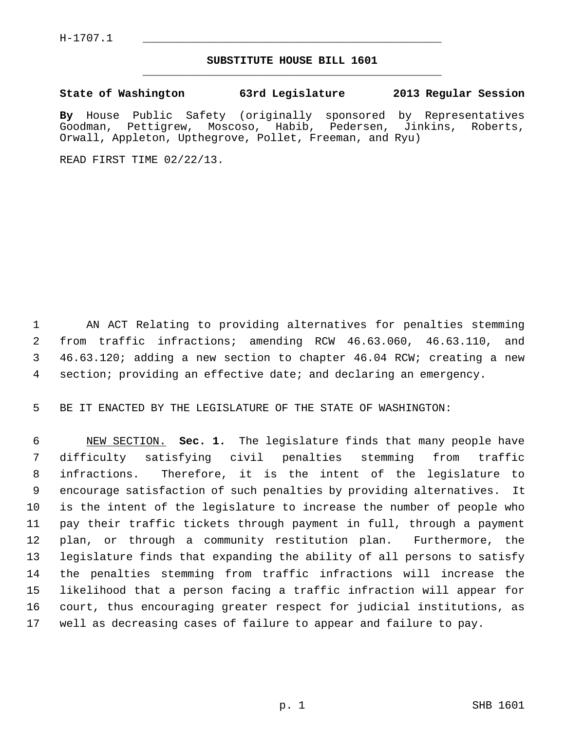## **SUBSTITUTE HOUSE BILL 1601** \_\_\_\_\_\_\_\_\_\_\_\_\_\_\_\_\_\_\_\_\_\_\_\_\_\_\_\_\_\_\_\_\_\_\_\_\_\_\_\_\_\_\_\_\_

## **State of Washington 63rd Legislature 2013 Regular Session**

**By** House Public Safety (originally sponsored by Representatives Goodman, Pettigrew, Moscoso, Habib, Pedersen, Jinkins, Roberts, Orwall, Appleton, Upthegrove, Pollet, Freeman, and Ryu)

READ FIRST TIME 02/22/13.

 1 AN ACT Relating to providing alternatives for penalties stemming 2 from traffic infractions; amending RCW 46.63.060, 46.63.110, and 3 46.63.120; adding a new section to chapter 46.04 RCW; creating a new 4 section; providing an effective date; and declaring an emergency.

5 BE IT ENACTED BY THE LEGISLATURE OF THE STATE OF WASHINGTON:

 6 NEW SECTION. **Sec. 1.** The legislature finds that many people have 7 difficulty satisfying civil penalties stemming from traffic 8 infractions. Therefore, it is the intent of the legislature to 9 encourage satisfaction of such penalties by providing alternatives. It 10 is the intent of the legislature to increase the number of people who 11 pay their traffic tickets through payment in full, through a payment 12 plan, or through a community restitution plan. Furthermore, the 13 legislature finds that expanding the ability of all persons to satisfy 14 the penalties stemming from traffic infractions will increase the 15 likelihood that a person facing a traffic infraction will appear for 16 court, thus encouraging greater respect for judicial institutions, as 17 well as decreasing cases of failure to appear and failure to pay.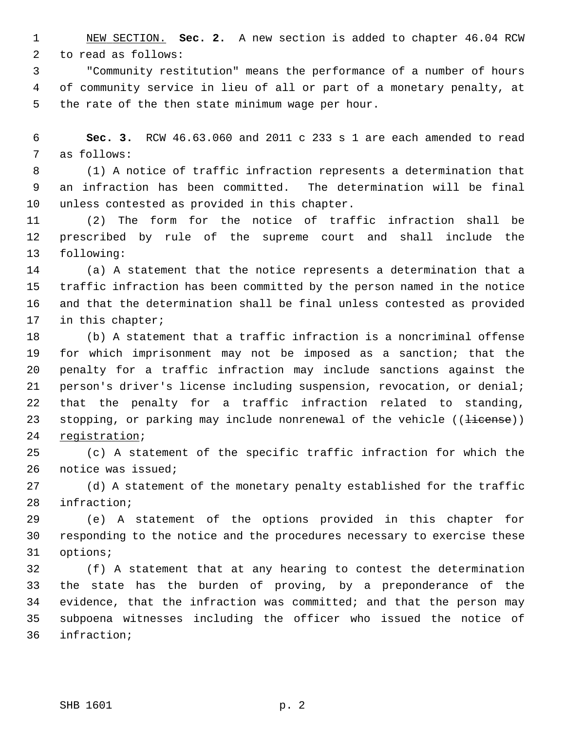1 NEW SECTION. **Sec. 2.** A new section is added to chapter 46.04 RCW 2 to read as follows:

 3 "Community restitution" means the performance of a number of hours 4 of community service in lieu of all or part of a monetary penalty, at 5 the rate of the then state minimum wage per hour.

 6 **Sec. 3.** RCW 46.63.060 and 2011 c 233 s 1 are each amended to read 7 as follows:

 8 (1) A notice of traffic infraction represents a determination that 9 an infraction has been committed. The determination will be final 10 unless contested as provided in this chapter.

11 (2) The form for the notice of traffic infraction shall be 12 prescribed by rule of the supreme court and shall include the 13 following:

14 (a) A statement that the notice represents a determination that a 15 traffic infraction has been committed by the person named in the notice 16 and that the determination shall be final unless contested as provided 17 in this chapter;

18 (b) A statement that a traffic infraction is a noncriminal offense 19 for which imprisonment may not be imposed as a sanction; that the 20 penalty for a traffic infraction may include sanctions against the 21 person's driver's license including suspension, revocation, or denial; 22 that the penalty for a traffic infraction related to standing, 23 stopping, or parking may include nonrenewal of the vehicle  $((\text{iicense}))$ 24 registration;

25 (c) A statement of the specific traffic infraction for which the 26 notice was issued;

27 (d) A statement of the monetary penalty established for the traffic 28 infraction;

29 (e) A statement of the options provided in this chapter for 30 responding to the notice and the procedures necessary to exercise these 31 options;

32 (f) A statement that at any hearing to contest the determination 33 the state has the burden of proving, by a preponderance of the 34 evidence, that the infraction was committed; and that the person may 35 subpoena witnesses including the officer who issued the notice of 36 infraction;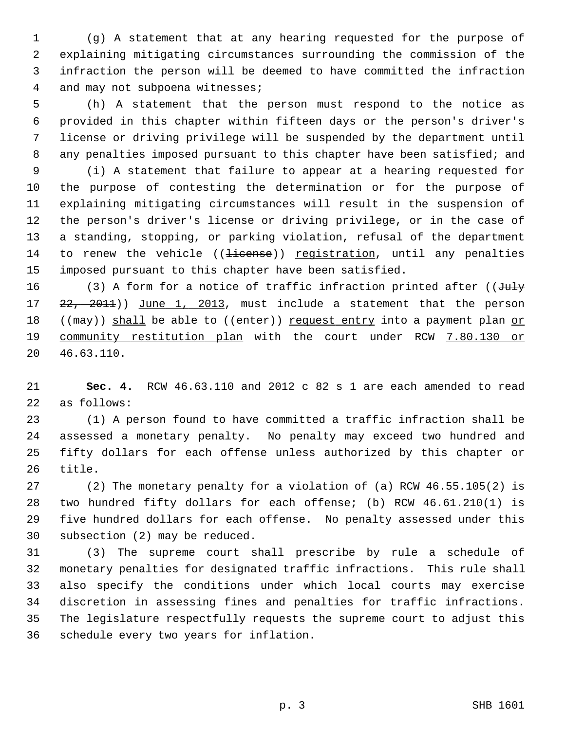1 (g) A statement that at any hearing requested for the purpose of 2 explaining mitigating circumstances surrounding the commission of the 3 infraction the person will be deemed to have committed the infraction 4 and may not subpoena witnesses;

 5 (h) A statement that the person must respond to the notice as 6 provided in this chapter within fifteen days or the person's driver's 7 license or driving privilege will be suspended by the department until 8 any penalties imposed pursuant to this chapter have been satisfied; and

 9 (i) A statement that failure to appear at a hearing requested for 10 the purpose of contesting the determination or for the purpose of 11 explaining mitigating circumstances will result in the suspension of 12 the person's driver's license or driving privilege, or in the case of 13 a standing, stopping, or parking violation, refusal of the department 14 to renew the vehicle ((<del>license</del>)) registration, until any penalties 15 imposed pursuant to this chapter have been satisfied.

16 (3) A form for a notice of traffic infraction printed after ( $J^2$ uly 17 22, 2011)) June 1, 2013, must include a statement that the person 18 (( $\text{max}$ )) shall be able to (( $\text{enter}$ )) request entry into a payment plan or 19 community restitution plan with the court under RCW 7.80.130 or 20 46.63.110.

21 **Sec. 4.** RCW 46.63.110 and 2012 c 82 s 1 are each amended to read 22 as follows:

23 (1) A person found to have committed a traffic infraction shall be 24 assessed a monetary penalty. No penalty may exceed two hundred and 25 fifty dollars for each offense unless authorized by this chapter or 26 title.

27 (2) The monetary penalty for a violation of (a) RCW 46.55.105(2) is 28 two hundred fifty dollars for each offense; (b) RCW 46.61.210(1) is 29 five hundred dollars for each offense. No penalty assessed under this 30 subsection (2) may be reduced.

31 (3) The supreme court shall prescribe by rule a schedule of 32 monetary penalties for designated traffic infractions. This rule shall 33 also specify the conditions under which local courts may exercise 34 discretion in assessing fines and penalties for traffic infractions. 35 The legislature respectfully requests the supreme court to adjust this 36 schedule every two years for inflation.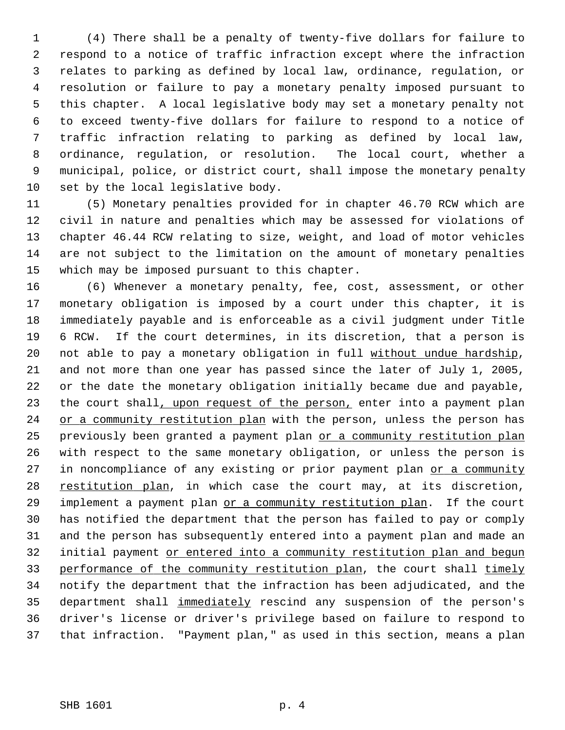1 (4) There shall be a penalty of twenty-five dollars for failure to 2 respond to a notice of traffic infraction except where the infraction 3 relates to parking as defined by local law, ordinance, regulation, or 4 resolution or failure to pay a monetary penalty imposed pursuant to 5 this chapter. A local legislative body may set a monetary penalty not 6 to exceed twenty-five dollars for failure to respond to a notice of 7 traffic infraction relating to parking as defined by local law, 8 ordinance, regulation, or resolution. The local court, whether a 9 municipal, police, or district court, shall impose the monetary penalty 10 set by the local legislative body.

11 (5) Monetary penalties provided for in chapter 46.70 RCW which are 12 civil in nature and penalties which may be assessed for violations of 13 chapter 46.44 RCW relating to size, weight, and load of motor vehicles 14 are not subject to the limitation on the amount of monetary penalties 15 which may be imposed pursuant to this chapter.

16 (6) Whenever a monetary penalty, fee, cost, assessment, or other 17 monetary obligation is imposed by a court under this chapter, it is 18 immediately payable and is enforceable as a civil judgment under Title 19 6 RCW. If the court determines, in its discretion, that a person is 20 not able to pay a monetary obligation in full without undue hardship, 21 and not more than one year has passed since the later of July 1, 2005, 22 or the date the monetary obligation initially became due and payable, 23 the court shall, upon request of the person, enter into a payment plan 24 or a community restitution plan with the person, unless the person has 25 previously been granted a payment plan or a community restitution plan 26 with respect to the same monetary obligation, or unless the person is 27 in noncompliance of any existing or prior payment plan or a community 28 restitution plan, in which case the court may, at its discretion, 29 implement a payment plan or a community restitution plan. If the court 30 has notified the department that the person has failed to pay or comply 31 and the person has subsequently entered into a payment plan and made an 32 initial payment or entered into a community restitution plan and begun 33 performance of the community restitution plan, the court shall timely 34 notify the department that the infraction has been adjudicated, and the 35 department shall immediately rescind any suspension of the person's 36 driver's license or driver's privilege based on failure to respond to 37 that infraction. "Payment plan," as used in this section, means a plan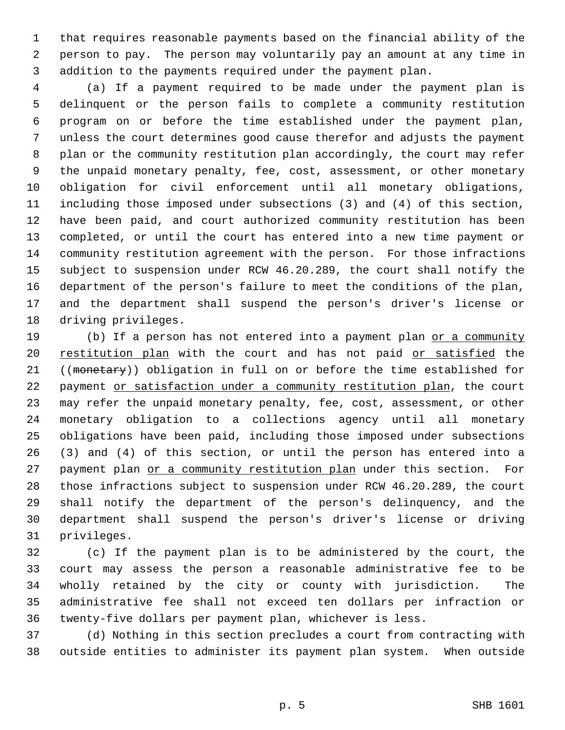1 that requires reasonable payments based on the financial ability of the 2 person to pay. The person may voluntarily pay an amount at any time in 3 addition to the payments required under the payment plan.

 4 (a) If a payment required to be made under the payment plan is 5 delinquent or the person fails to complete a community restitution 6 program on or before the time established under the payment plan, 7 unless the court determines good cause therefor and adjusts the payment 8 plan or the community restitution plan accordingly, the court may refer 9 the unpaid monetary penalty, fee, cost, assessment, or other monetary 10 obligation for civil enforcement until all monetary obligations, 11 including those imposed under subsections (3) and (4) of this section, 12 have been paid, and court authorized community restitution has been 13 completed, or until the court has entered into a new time payment or 14 community restitution agreement with the person. For those infractions 15 subject to suspension under RCW 46.20.289, the court shall notify the 16 department of the person's failure to meet the conditions of the plan, 17 and the department shall suspend the person's driver's license or 18 driving privileges.

19 (b) If a person has not entered into a payment plan or a community 20 restitution plan with the court and has not paid or satisfied the 21 ((monetary)) obligation in full on or before the time established for 22 payment or satisfaction under a community restitution plan, the court 23 may refer the unpaid monetary penalty, fee, cost, assessment, or other 24 monetary obligation to a collections agency until all monetary 25 obligations have been paid, including those imposed under subsections 26 (3) and (4) of this section, or until the person has entered into a 27 payment plan or a community restitution plan under this section. For 28 those infractions subject to suspension under RCW 46.20.289, the court 29 shall notify the department of the person's delinquency, and the 30 department shall suspend the person's driver's license or driving 31 privileges.

32 (c) If the payment plan is to be administered by the court, the 33 court may assess the person a reasonable administrative fee to be 34 wholly retained by the city or county with jurisdiction. The 35 administrative fee shall not exceed ten dollars per infraction or 36 twenty-five dollars per payment plan, whichever is less.

37 (d) Nothing in this section precludes a court from contracting with 38 outside entities to administer its payment plan system. When outside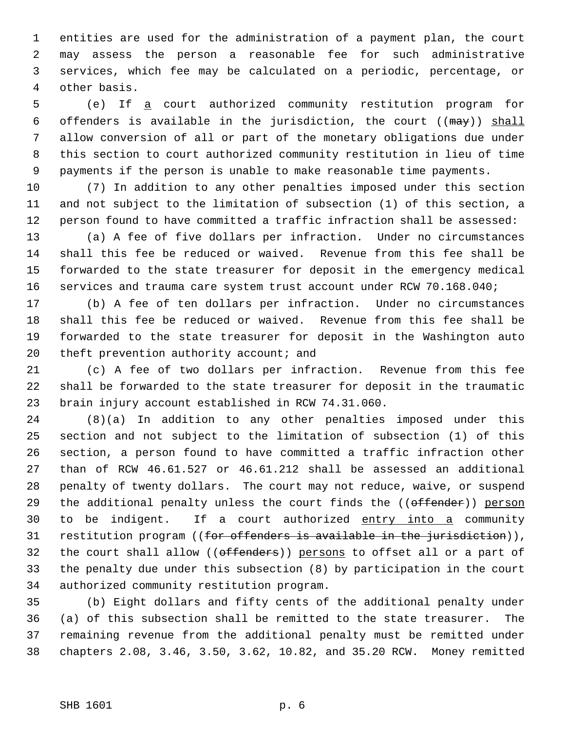1 entities are used for the administration of a payment plan, the court 2 may assess the person a reasonable fee for such administrative 3 services, which fee may be calculated on a periodic, percentage, or 4 other basis.

 5 (e) If a court authorized community restitution program for 6 offenders is available in the jurisdiction, the court  $((\text{max}))$  shall 7 allow conversion of all or part of the monetary obligations due under 8 this section to court authorized community restitution in lieu of time 9 payments if the person is unable to make reasonable time payments.

10 (7) In addition to any other penalties imposed under this section 11 and not subject to the limitation of subsection (1) of this section, a 12 person found to have committed a traffic infraction shall be assessed:

13 (a) A fee of five dollars per infraction. Under no circumstances 14 shall this fee be reduced or waived. Revenue from this fee shall be 15 forwarded to the state treasurer for deposit in the emergency medical 16 services and trauma care system trust account under RCW 70.168.040;

17 (b) A fee of ten dollars per infraction. Under no circumstances 18 shall this fee be reduced or waived. Revenue from this fee shall be 19 forwarded to the state treasurer for deposit in the Washington auto 20 theft prevention authority account; and

21 (c) A fee of two dollars per infraction. Revenue from this fee 22 shall be forwarded to the state treasurer for deposit in the traumatic 23 brain injury account established in RCW 74.31.060.

24 (8)(a) In addition to any other penalties imposed under this 25 section and not subject to the limitation of subsection (1) of this 26 section, a person found to have committed a traffic infraction other 27 than of RCW 46.61.527 or 46.61.212 shall be assessed an additional 28 penalty of twenty dollars. The court may not reduce, waive, or suspend 29 the additional penalty unless the court finds the ((offender)) person 30 to be indigent. If a court authorized entry into a community 31 restitution program  $((for$  offenders is available in the jurisdiction)), 32 the court shall allow ((offenders)) persons to offset all or a part of 33 the penalty due under this subsection (8) by participation in the court 34 authorized community restitution program.

35 (b) Eight dollars and fifty cents of the additional penalty under 36 (a) of this subsection shall be remitted to the state treasurer. The 37 remaining revenue from the additional penalty must be remitted under 38 chapters 2.08, 3.46, 3.50, 3.62, 10.82, and 35.20 RCW. Money remitted

## SHB 1601 p. 6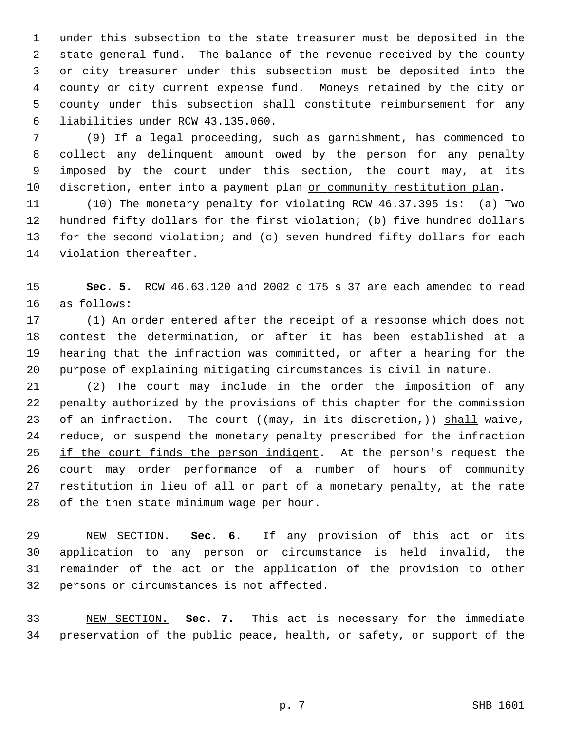1 under this subsection to the state treasurer must be deposited in the 2 state general fund. The balance of the revenue received by the county 3 or city treasurer under this subsection must be deposited into the 4 county or city current expense fund. Moneys retained by the city or 5 county under this subsection shall constitute reimbursement for any 6 liabilities under RCW 43.135.060.

 7 (9) If a legal proceeding, such as garnishment, has commenced to 8 collect any delinquent amount owed by the person for any penalty 9 imposed by the court under this section, the court may, at its 10 discretion, enter into a payment plan or community restitution plan.

11 (10) The monetary penalty for violating RCW 46.37.395 is: (a) Two 12 hundred fifty dollars for the first violation; (b) five hundred dollars 13 for the second violation; and (c) seven hundred fifty dollars for each 14 violation thereafter.

15 **Sec. 5.** RCW 46.63.120 and 2002 c 175 s 37 are each amended to read 16 as follows:

17 (1) An order entered after the receipt of a response which does not 18 contest the determination, or after it has been established at a 19 hearing that the infraction was committed, or after a hearing for the 20 purpose of explaining mitigating circumstances is civil in nature.

21 (2) The court may include in the order the imposition of any 22 penalty authorized by the provisions of this chapter for the commission 23 of an infraction. The court ( $(\frac{may}{t}, \frac{in}{t}; \frac{it}{s})$ ) shall waive, 24 reduce, or suspend the monetary penalty prescribed for the infraction 25 if the court finds the person indigent. At the person's request the 26 court may order performance of a number of hours of community 27 restitution in lieu of all or part of a monetary penalty, at the rate 28 of the then state minimum wage per hour.

29 NEW SECTION. **Sec. 6.** If any provision of this act or its 30 application to any person or circumstance is held invalid, the 31 remainder of the act or the application of the provision to other 32 persons or circumstances is not affected.

33 NEW SECTION. **Sec. 7.** This act is necessary for the immediate 34 preservation of the public peace, health, or safety, or support of the

p. 7 SHB 1601